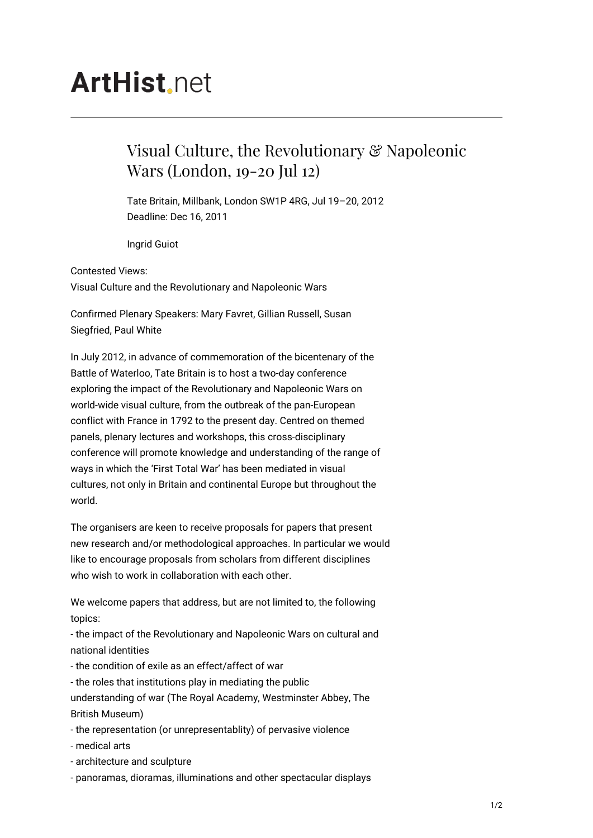## **ArtHist** net

## Visual Culture, the Revolutionary & Napoleonic Wars (London, 19-20 Jul 12)

Tate Britain, Millbank, London SW1P 4RG, Jul 19–20, 2012 Deadline: Dec 16, 2011

Ingrid Guiot

Contested Views: Visual Culture and the Revolutionary and Napoleonic Wars

Confirmed Plenary Speakers: Mary Favret, Gillian Russell, Susan Siegfried, Paul White

In July 2012, in advance of commemoration of the bicentenary of the Battle of Waterloo, Tate Britain is to host a two-day conference exploring the impact of the Revolutionary and Napoleonic Wars on world-wide visual culture, from the outbreak of the pan-European conflict with France in 1792 to the present day. Centred on themed panels, plenary lectures and workshops, this cross-disciplinary conference will promote knowledge and understanding of the range of ways in which the 'First Total War' has been mediated in visual cultures, not only in Britain and continental Europe but throughout the world.

The organisers are keen to receive proposals for papers that present new research and/or methodological approaches. In particular we would like to encourage proposals from scholars from different disciplines who wish to work in collaboration with each other.

We welcome papers that address, but are not limited to, the following topics:

- the impact of the Revolutionary and Napoleonic Wars on cultural and national identities

- the condition of exile as an effect/affect of war
- the roles that institutions play in mediating the public

understanding of war (The Royal Academy, Westminster Abbey, The British Museum)

- the representation (or unrepresentablity) of pervasive violence
- medical arts
- architecture and sculpture
- panoramas, dioramas, illuminations and other spectacular displays